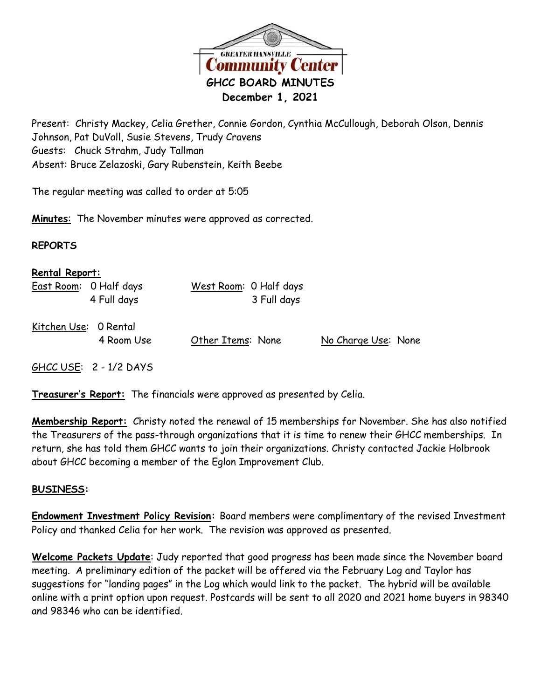

Present: Christy Mackey, Celia Grether, Connie Gordon, Cynthia McCullough, Deborah Olson, Dennis Johnson, Pat DuVall, Susie Stevens, Trudy Cravens Guests: Chuck Strahm, Judy Tallman Absent: Bruce Zelazoski, Gary Rubenstein, Keith Beebe

The regular meeting was called to order at 5:05

**Minutes**: The November minutes were approved as corrected.

## **REPORTS**

| <b>Rental Report:</b> |                                       |                                       |                     |  |
|-----------------------|---------------------------------------|---------------------------------------|---------------------|--|
|                       | East Room: 0 Half days<br>4 Full days | West Room: 0 Half days<br>3 Full days |                     |  |
| Kitchen Use: 0 Rental | 4 Room Use                            | Other Items: None                     | No Charge Use: None |  |
|                       | GHCC USE: $2 - 1/2$ DAYS              |                                       |                     |  |

**Treasurer's Report:** The financials were approved as presented by Celia.

**Membership Report:** Christy noted the renewal of 15 memberships for November. She has also notified the Treasurers of the pass-through organizations that it is time to renew their GHCC memberships. In return, she has told them GHCC wants to join their organizations. Christy contacted Jackie Holbrook about GHCC becoming a member of the Eglon Improvement Club.

## **BUSINESS:**

**Endowment Investment Policy Revision:** Board members were complimentary of the revised Investment Policy and thanked Celia for her work. The revision was approved as presented.

**Welcome Packets Update**: Judy reported that good progress has been made since the November board meeting. A preliminary edition of the packet will be offered via the February Log and Taylor has suggestions for "landing pages" in the Log which would link to the packet. The hybrid will be available online with a print option upon request. Postcards will be sent to all 2020 and 2021 home buyers in 98340 and 98346 who can be identified.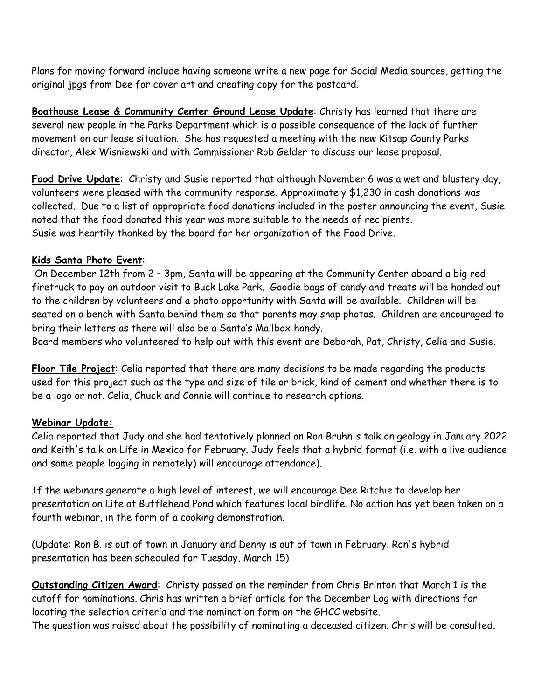Plans for moving forward include having someone write a new page for Social Media sources, getting the original jpgs from Dee for cover art and creating copy for the postcard.

**Boathouse Lease & Community Center Ground Lease Update**: Christy has learned that there are several new people in the Parks Department which is a possible consequence of the lack of further movement on our lease situation. She has requested a meeting with the new Kitsap County Parks director, Alex Wisniewski and with Commissioner Rob Gelder to discuss our lease proposal.

**Food Drive Update**: Christy and Susie reported that although November 6 was a wet and blustery day, volunteers were pleased with the community response. Approximately \$1,230 in cash donations was collected. Due to a list of appropriate food donations included in the poster announcing the event, Susie noted that the food donated this year was more suitable to the needs of recipients. Susie was heartily thanked by the board for her organization of the Food Drive.

## **Kids Santa Photo Event**:

On December 12th from 2 – 3pm, Santa will be appearing at the Community Center aboard a big red firetruck to pay an outdoor visit to Buck Lake Park. Goodie bags of candy and treats will be handed out to the children by volunteers and a photo opportunity with Santa will be available. Children will be seated on a bench with Santa behind them so that parents may snap photos. Children are encouraged to bring their letters as there will also be a Santa's Mailbox handy.

Board members who volunteered to help out with this event are Deborah, Pat, Christy, Celia and Susie.

**Floor Tile Project**: Celia reported that there are many decisions to be made regarding the products used for this project such as the type and size of tile or brick, kind of cement and whether there is to be a logo or not. Celia, Chuck and Connie will continue to research options.

## **Webinar Update:**

Celia reported that Judy and she had tentatively planned on Ron Bruhn's talk on geology in January 2022 and Keith's talk on Life in Mexico for February. Judy feels that a hybrid format (i.e. with a live audience and some people logging in remotely) will encourage attendance).

If the webinars generate a high level of interest, we will encourage Dee Ritchie to develop her presentation on Life at Bufflehead Pond which features local birdlife. No action has yet been taken on a fourth webinar, in the form of a cooking demonstration.

(Update: Ron B. is out of town in January and Denny is out of town in February. Ron's hybrid presentation has been scheduled for Tuesday, March 15)

**Outstanding Citizen Award**: Christy passed on the reminder from Chris Brinton that March 1 is the cutoff for nominations. Chris has written a brief article for the December Log with directions for locating the selection criteria and the nomination form on the GHCC website.

The question was raised about the possibility of nominating a deceased citizen. Chris will be consulted.